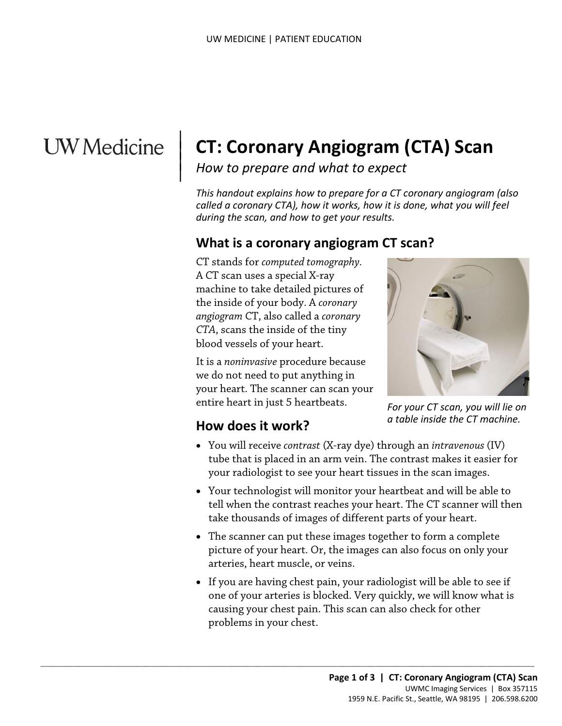# **UW** Medicine

 $\parallel$  $\vert$  $\vert$ 

# **CT: Coronary Angiogram (CTA) Scan**

*How to prepare and what to expect*

*This handout explains how to prepare for a CT coronary angiogram (also called a coronary CTA), how it works, how it is done, what you will feel during the scan, and how to get your results.*

### **What is a coronary angiogram CT scan?**

CT stands for *computed tomography.* A CT scan uses a special X-ray machine to take detailed pictures of the inside of your body. A *coronary angiogram* CT, also called a *coronary CTA*, scans the inside of the tiny blood vessels of your heart.

It is a *noninvasive* procedure because we do not need to put anything in your heart. The scanner can scan your entire heart in just 5 heartbeats.

 $\_$  ,  $\_$  ,  $\_$  ,  $\_$  ,  $\_$  ,  $\_$  ,  $\_$  ,  $\_$  ,  $\_$  ,  $\_$  ,  $\_$  ,  $\_$  ,  $\_$  ,  $\_$  ,  $\_$  ,  $\_$  ,  $\_$  ,  $\_$  ,  $\_$  ,  $\_$  ,  $\_$  ,  $\_$  ,  $\_$  ,  $\_$  ,  $\_$  ,  $\_$  ,  $\_$  ,  $\_$  ,  $\_$  ,  $\_$  ,  $\_$  ,  $\_$  ,  $\_$  ,  $\_$  ,  $\_$  ,  $\_$  ,  $\_$  ,



*For your CT scan, you will lie on a table inside the CT machine.*

#### **How does it work?**

- You will receive *contrast* (X-ray dye) through an *intravenous* (IV) tube that is placed in an arm vein. The contrast makes it easier for your radiologist to see your heart tissues in the scan images.
- Your technologist will monitor your heartbeat and will be able to tell when the contrast reaches your heart. The CT scanner will then take thousands of images of different parts of your heart.
- The scanner can put these images together to form a complete picture of your heart. Or, the images can also focus on only your arteries, heart muscle, or veins.
- If you are having chest pain, your radiologist will be able to see if one of your arteries is blocked. Very quickly, we will know what is causing your chest pain. This scan can also check for other problems in your chest.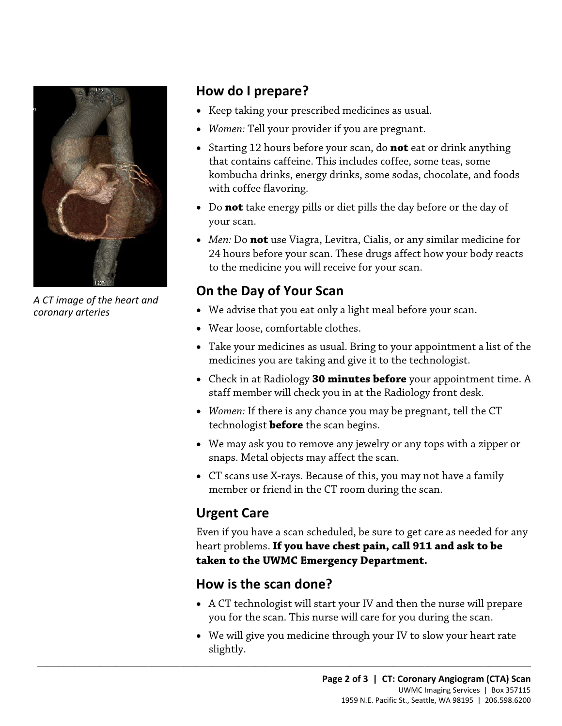

*A CT image of the heart and coronary arteries*

#### **How do I prepare?**

- Keep taking your prescribed medicines as usual.
- *Women:* Tell your provider if you are pregnant.
- Starting 12 hours before your scan, do **not** eat or drink anything that contains caffeine. This includes coffee, some teas, some kombucha drinks, energy drinks, some sodas, chocolate, and foods with coffee flavoring.
- Do **not** take energy pills or diet pills the day before or the day of your scan.
- *Men:* Do **not** use Viagra, Levitra, Cialis, or any similar medicine for 24 hours before your scan. These drugs affect how your body reacts to the medicine you will receive for your scan.

# **On the Day of Your Scan**

- We advise that you eat only a light meal before your scan.
- Wear loose, comfortable clothes.
- Take your medicines as usual. Bring to your appointment a list of the medicines you are taking and give it to the technologist.
- Check in at Radiology **30 minutes before** your appointment time. A staff member will check you in at the Radiology front desk.
- *Women:* If there is any chance you may be pregnant, tell the CT technologist **before** the scan begins.
- We may ask you to remove any jewelry or any tops with a zipper or snaps. Metal objects may affect the scan.
- CT scans use X-rays. Because of this, you may not have a family member or friend in the CT room during the scan.

# **Urgent Care**

Even if you have a scan scheduled, be sure to get care as needed for any heart problems. **If you have chest pain, call 911 and ask to be taken to the UWMC Emergency Department.**

#### **How is the scan done?**

 $\_$  ,  $\_$  ,  $\_$  ,  $\_$  ,  $\_$  ,  $\_$  ,  $\_$  ,  $\_$  ,  $\_$  ,  $\_$  ,  $\_$  ,  $\_$  ,  $\_$  ,  $\_$  ,  $\_$  ,  $\_$  ,  $\_$  ,  $\_$  ,  $\_$  ,  $\_$  ,  $\_$  ,  $\_$  ,  $\_$  ,  $\_$  ,  $\_$  ,  $\_$  ,  $\_$  ,  $\_$  ,  $\_$  ,  $\_$  ,  $\_$  ,  $\_$  ,  $\_$  ,  $\_$  ,  $\_$  ,  $\_$  ,  $\_$  ,

- A CT technologist will start your IV and then the nurse will prepare you for the scan. This nurse will care for you during the scan.
- We will give you medicine through your IV to slow your heart rate slightly.